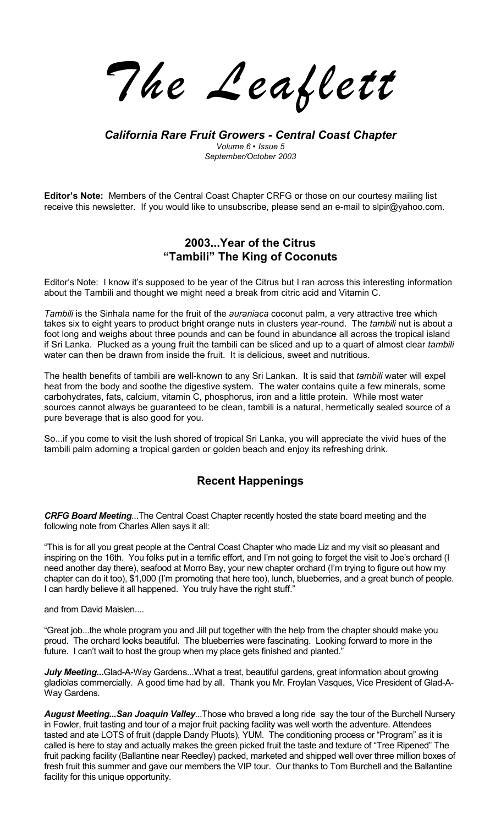*The Leaflett*

*California Rare Fruit Growers - Central Coast Chapter Volume 6 ï Issue 5 September/October 2003* 

**Editorís Note:** Members of the Central Coast Chapter CRFG or those on our courtesy mailing list receive this newsletter. If you would like to unsubscribe, please send an e-mail to slpir@yahoo.com.

### **2003...Year of the Citrus ìTambiliî The King of Coconuts**

Editor's Note: I know it's supposed to be year of the Citrus but I ran across this interesting information about the Tambili and thought we might need a break from citric acid and Vitamin C.

*Tambili* is the Sinhala name for the fruit of the *auraniaca* coconut palm, a very attractive tree which takes six to eight years to product bright orange nuts in clusters year-round. The *tambili* nut is about a foot long and weighs about three pounds and can be found in abundance all across the tropical island if Sri Lanka. Plucked as a young fruit the tambili can be sliced and up to a quart of almost clear *tambili*  water can then be drawn from inside the fruit. It is delicious, sweet and nutritious.

The health benefits of tambili are well-known to any Sri Lankan. It is said that *tambili* water will expel heat from the body and soothe the digestive system. The water contains quite a few minerals, some carbohydrates, fats, calcium, vitamin C, phosphorus, iron and a little protein. While most water sources cannot always be guaranteed to be clean, tambili is a natural, hermetically sealed source of a pure beverage that is also good for you.

So...if you come to visit the lush shored of tropical Sri Lanka, you will appreciate the vivid hues of the tambili palm adorning a tropical garden or golden beach and enjoy its refreshing drink.

### **Recent Happenings**

*CRFG Board Meeting*...The Central Coast Chapter recently hosted the state board meeting and the following note from Charles Allen says it all:

ìThis is for all you great people at the Central Coast Chapter who made Liz and my visit so pleasant and inspiring on the 16th. You folks put in a terrific effort, and I'm not going to forget the visit to Joe's orchard (I need another day there), seafood at Morro Bay, your new chapter orchard (Iím trying to figure out how my chapter can do it too), \$1,000 (Iím promoting that here too), lunch, blueberries, and a great bunch of people. I can hardly believe it all happened. You truly have the right stuff."

and from David Maislen....

ìGreat job...the whole program you and Jill put together with the help from the chapter should make you proud. The orchard looks beautiful. The blueberries were fascinating. Looking forward to more in the future. I can't wait to host the group when my place gets finished and planted."

*July Meeting...*Glad-A-Way Gardens...What a treat, beautiful gardens, great information about growing gladiolas commercially. A good time had by all. Thank you Mr. Froylan Vasques, Vice President of Glad-A-Way Gardens.

*August Meeting...San Joaquin Valley*...Those who braved a long ride say the tour of the Burchell Nursery in Fowler, fruit tasting and tour of a major fruit packing facility was well worth the adventure. Attendees tasted and ate LOTS of fruit (dapple Dandy Pluots), YUM. The conditioning process or "Program" as it is called is here to stay and actually makes the green picked fruit the taste and texture of "Tree Ripened" The fruit packing facility (Ballantine near Reedley) packed, marketed and shipped well over three million boxes of fresh fruit this summer and gave our members the VIP tour. Our thanks to Tom Burchell and the Ballantine facility for this unique opportunity.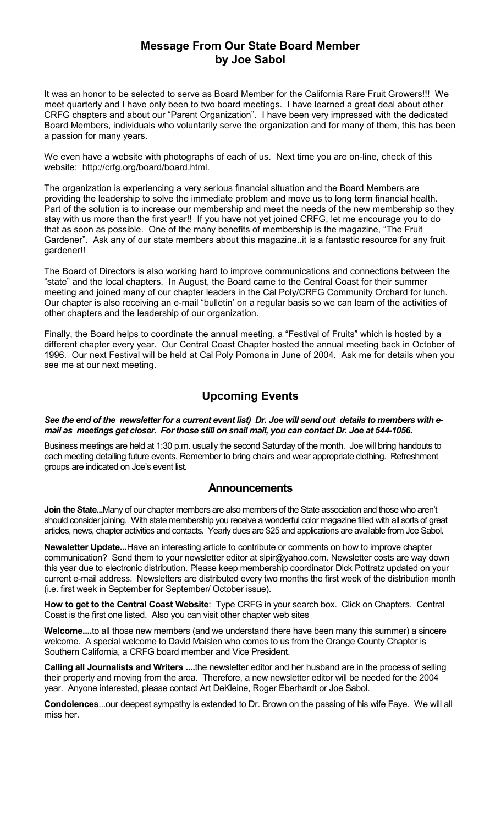## **Message From Our State Board Member by Joe Sabol**

It was an honor to be selected to serve as Board Member for the California Rare Fruit Growers!!! We meet quarterly and I have only been to two board meetings. I have learned a great deal about other CRFG chapters and about our "Parent Organization". I have been very impressed with the dedicated Board Members, individuals who voluntarily serve the organization and for many of them, this has been a passion for many years.

We even have a website with photographs of each of us. Next time you are on-line, check of this website: http://crfg.org/board/board.html.

The organization is experiencing a very serious financial situation and the Board Members are providing the leadership to solve the immediate problem and move us to long term financial health. Part of the solution is to increase our membership and meet the needs of the new membership so they stay with us more than the first year!! If you have not yet joined CRFG, let me encourage you to do that as soon as possible. One of the many benefits of membership is the magazine, "The Fruit Gardener". Ask any of our state members about this magazine..it is a fantastic resource for any fruit gardener!!

The Board of Directors is also working hard to improve communications and connections between the "state" and the local chapters. In August, the Board came to the Central Coast for their summer meeting and joined many of our chapter leaders in the Cal Poly/CRFG Community Orchard for lunch. Our chapter is also receiving an e-mail "bulletin' on a regular basis so we can learn of the activities of other chapters and the leadership of our organization.

Finally, the Board helps to coordinate the annual meeting, a "Festival of Fruits" which is hosted by a different chapter every year. Our Central Coast Chapter hosted the annual meeting back in October of 1996. Our next Festival will be held at Cal Poly Pomona in June of 2004. Ask me for details when you see me at our next meeting.

## **Upcoming Events**

#### *See the end of the newsletter for a current event list) Dr. Joe will send out details to members with email as meetings get closer. For those still on snail mail, you can contact Dr. Joe at 544-1056.*

Business meetings are held at 1:30 p.m. usually the second Saturday of the month. Joe will bring handouts to each meeting detailing future events. Remember to bring chairs and wear appropriate clothing. Refreshment groups are indicated on Joe's event list.

### **Announcements**

**Join the State...**Many of our chapter members are also members of the State association and those who arenít should consider joining. With state membership you receive a wonderful color magazine filled with all sorts of great articles, news, chapter activities and contacts. Yearly dues are \$25 and applications are available from Joe Sabol.

**Newsletter Update...**Have an interesting article to contribute or comments on how to improve chapter communication? Send them to your newsletter editor at slpir@yahoo.com. Newsletter costs are way down this year due to electronic distribution. Please keep membership coordinator Dick Pottratz updated on your current e-mail address. Newsletters are distributed every two months the first week of the distribution month (i.e. first week in September for September/ October issue).

**How to get to the Central Coast Website**: Type CRFG in your search box. Click on Chapters. Central Coast is the first one listed. Also you can visit other chapter web sites

**Welcome....**to all those new members (and we understand there have been many this summer) a sincere welcome. A special welcome to David Maislen who comes to us from the Orange County Chapter is Southern California, a CRFG board member and Vice President.

**Calling all Journalists and Writers ....**the newsletter editor and her husband are in the process of selling their property and moving from the area. Therefore, a new newsletter editor will be needed for the 2004 year. Anyone interested, please contact Art DeKleine, Roger Eberhardt or Joe Sabol.

**Condolences**...our deepest sympathy is extended to Dr. Brown on the passing of his wife Faye. We will all miss her.